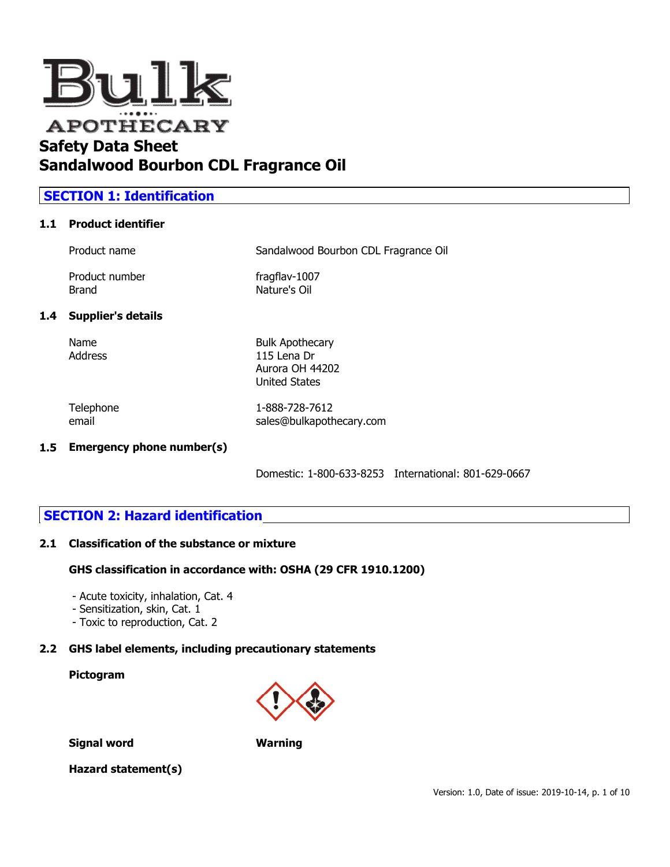

## **Sandalwood Bourbon CDL Fragrance Oil**

## **SECTION 1: Identification**

### **1.1 Product identifier**

| 1.4 Supplier's details         |                                      |
|--------------------------------|--------------------------------------|
| Product number<br><b>Brand</b> | fragflav-1007<br>Nature's Oil        |
| Product name                   | Sandalwood Bourbon CDL Fragrance Oil |

Name Bulk Apothecary Address 115 Lena Dr Aurora OH 44202 United States

Telephone 1-888-728-7612 email sales@bulkapothecary.com

#### **1.5 Emergency phone number(s)**

Domestic: 1-800-633-8253 International: 801-629-0667

## **SECTION 2: Hazard identification**

#### **2.1 Classification of the substance or mixture**

#### **GHS classification in accordance with: OSHA (29 CFR 1910.1200)**

- Acute toxicity, inhalation, Cat. 4
- Sensitization, skin, Cat. 1
- Toxic to reproduction, Cat. 2

#### **2.2 GHS label elements, including precautionary statements**

#### **Pictogram**



**Signal word Warning**

#### **Hazard statement(s)**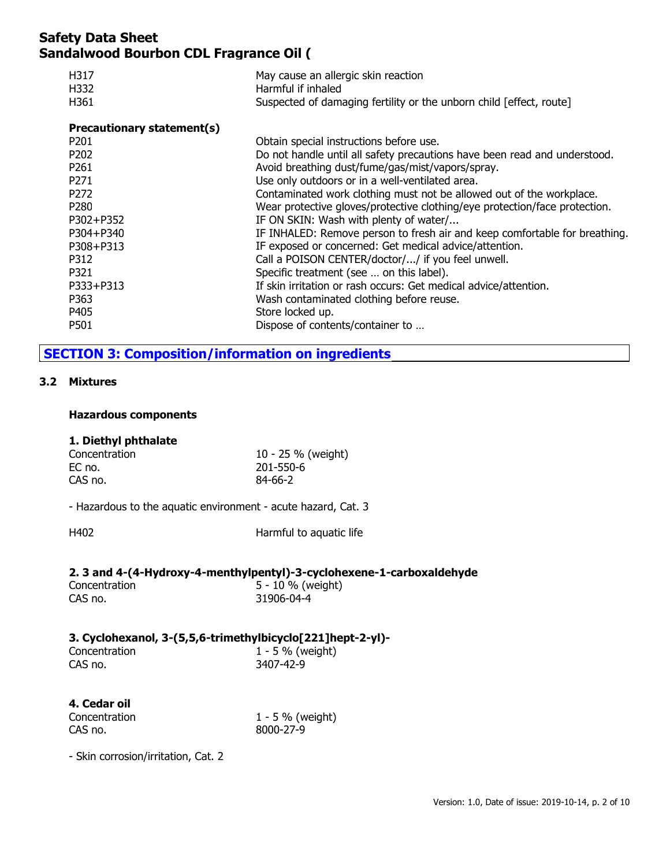| H317<br>H332<br>H361       | May cause an allergic skin reaction<br>Harmful if inhaled<br>Suspected of damaging fertility or the unborn child [effect, route] |
|----------------------------|----------------------------------------------------------------------------------------------------------------------------------|
| Precautionary statement(s) |                                                                                                                                  |
| P <sub>201</sub>           | Obtain special instructions before use.                                                                                          |
| P <sub>202</sub>           | Do not handle until all safety precautions have been read and understood.                                                        |
| P <sub>261</sub>           | Avoid breathing dust/fume/gas/mist/vapors/spray.                                                                                 |
| P <sub>271</sub>           | Use only outdoors or in a well-ventilated area.                                                                                  |
| P <sub>272</sub>           | Contaminated work clothing must not be allowed out of the workplace.                                                             |
| P <sub>280</sub>           | Wear protective gloves/protective clothing/eye protection/face protection.                                                       |
| P302+P352                  | IF ON SKIN: Wash with plenty of water/                                                                                           |
| P304+P340                  | IF INHALED: Remove person to fresh air and keep comfortable for breathing.                                                       |
| P308+P313                  | IF exposed or concerned: Get medical advice/attention.                                                                           |
| P312                       | Call a POISON CENTER/doctor// if you feel unwell.                                                                                |
| P321                       | Specific treatment (see  on this label).                                                                                         |
| P333+P313                  | If skin irritation or rash occurs: Get medical advice/attention.                                                                 |
| P363                       | Wash contaminated clothing before reuse.                                                                                         |
| P405                       | Store locked up.                                                                                                                 |
| P501                       | Dispose of contents/container to                                                                                                 |

## **SECTION 3: Composition/information on ingredients**

#### **3.2 Mixtures**

#### **Hazardous components**

#### **1. Diethyl phthalate**

| Concentration | 10 - 25 % (weight) |
|---------------|--------------------|
| EC no.        | 201-550-6          |
| CAS no.       | 84-66-2            |

- Hazardous to the aquatic environment - acute hazard, Cat. 3

| Harmful to aquatic life<br>H402 |  |
|---------------------------------|--|
|---------------------------------|--|

#### **2. 3 and 4-(4-Hydroxy-4-menthylpentyl)-3-cyclohexene-1-carboxaldehyde**

| Concentration | 5 - 10 % (weight) |
|---------------|-------------------|
| CAS no.       | 31906-04-4        |

## **3. Cyclohexanol, 3-(5,5,6-trimethylbicyclo[221]hept-2-yl)-**

| Concentration | . | $1 - 5 \%$ (weight) |
|---------------|---|---------------------|
| CAS no.       |   | 3407-42-9           |

# **4. Cedar oil**

Concentration 1 - 5 % (weight) CAS no. 8000-27-9

- Skin corrosion/irritation, Cat. 2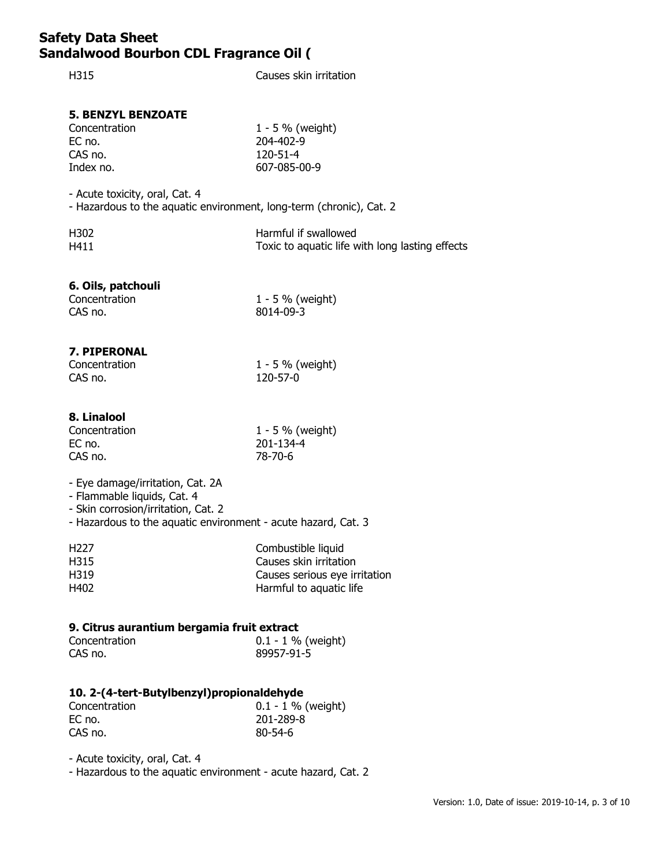| H315                                                                                                                                                                    | Causes skin irritation                                                                                   |
|-------------------------------------------------------------------------------------------------------------------------------------------------------------------------|----------------------------------------------------------------------------------------------------------|
| <b>5. BENZYL BENZOATE</b><br>Concentration<br>EC no.<br>CAS no.<br>Index no.                                                                                            | 1 - 5 % (weight)<br>204-402-9<br>120-51-4<br>607-085-00-9                                                |
| - Acute toxicity, oral, Cat. 4<br>- Hazardous to the aquatic environment, long-term (chronic), Cat. 2                                                                   |                                                                                                          |
| H302<br>H411                                                                                                                                                            | Harmful if swallowed<br>Toxic to aquatic life with long lasting effects                                  |
| 6. Oils, patchouli<br>Concentration<br>CAS no.                                                                                                                          | 1 - 5 % (weight)<br>8014-09-3                                                                            |
| 7. PIPERONAL<br>Concentration<br>CAS no.                                                                                                                                | 1 - 5 % (weight)<br>120-57-0                                                                             |
| 8. Linalool<br>Concentration<br>EC no.<br>CAS no.                                                                                                                       | 1 - 5 % (weight)<br>201-134-4<br>78-70-6                                                                 |
| - Eye damage/irritation, Cat. 2A<br>- Flammable liquids, Cat. 4<br>- Skin corrosion/irritation, Cat. 2<br>- Hazardous to the aquatic environment - acute hazard, Cat. 3 |                                                                                                          |
| H <sub>227</sub><br>H315<br>H319<br>H402                                                                                                                                | Combustible liquid<br>Causes skin irritation<br>Causes serious eye irritation<br>Harmful to aquatic life |
| 9. Citrus aurantium bergamia fruit extract<br>Concentration<br>CAS no.                                                                                                  | $0.1 - 1$ % (weight)<br>89957-91-5                                                                       |

## **10. 2-(4-tert-Butylbenzyl)propionaldehyde**

| Concentration | $0.1 - 1 \%$ (weight) |
|---------------|-----------------------|
| EC no.        | 201-289-8             |
| CAS no.       | $80 - 54 - 6$         |

- Acute toxicity, oral, Cat. 4

- Hazardous to the aquatic environment - acute hazard, Cat. 2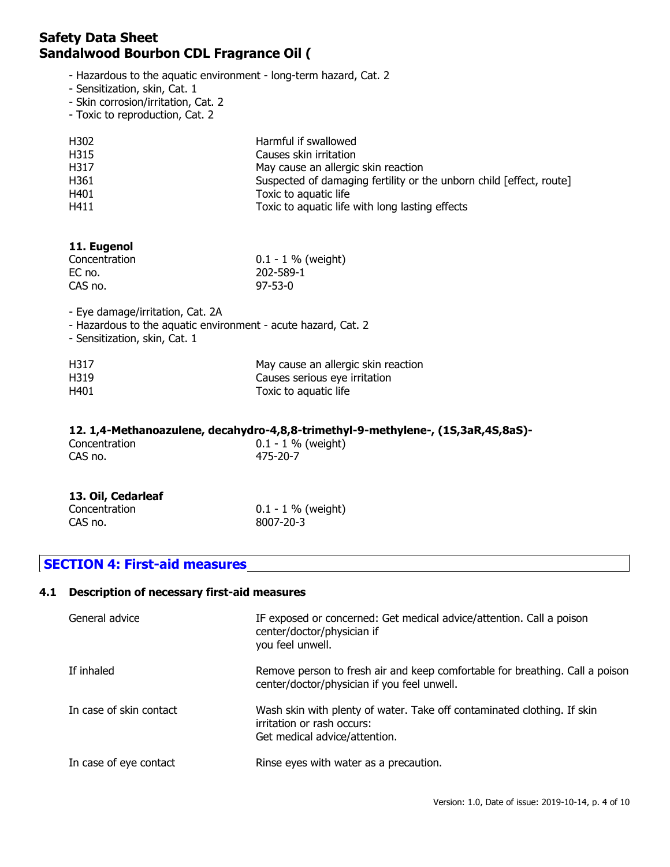- Hazardous to the aquatic environment long-term hazard, Cat. 2
- Sensitization, skin, Cat. 1
- Skin corrosion/irritation, Cat. 2
- Toxic to reproduction, Cat. 2

| H302             | Harmful if swallowed                                                |
|------------------|---------------------------------------------------------------------|
| H315             | Causes skin irritation                                              |
| H317             | May cause an allergic skin reaction                                 |
| H <sub>361</sub> | Suspected of damaging fertility or the unborn child [effect, route] |
| H401             | Toxic to aquatic life                                               |
| H411             | Toxic to aquatic life with long lasting effects                     |

#### **11. Eugenol**

| Concentration | $0.1 - 1$ % (weight) |
|---------------|----------------------|
| EC no.        | 202-589-1            |
| CAS no.       | $97 - 53 - 0$        |

- Eye damage/irritation, Cat. 2A

- Hazardous to the aquatic environment acute hazard, Cat. 2
- Sensitization, skin, Cat. 1

| H317 | May cause an allergic skin reaction |
|------|-------------------------------------|
| H319 | Causes serious eye irritation       |
| H401 | Toxic to aquatic life               |

#### **12. 1,4-Methanoazulene, decahydro-4,8,8-trimethyl-9-methylene-, (1S,3aR,4S,8aS)-**

| Concentration<br>CAS no. |  | $0.1 - 1 \%$ (weight)<br>475-20-7 |  | . |  |
|--------------------------|--|-----------------------------------|--|---|--|
|                          |  |                                   |  |   |  |

### **13. Oil, Cedarleaf**

| Concentration | $0.1 - 1 \%$ (weight) |
|---------------|-----------------------|
| CAS no.       | 8007-20-3             |

## **SECTION 4: First-aid measures**

#### **4.1 Description of necessary first-aid measures**

| General advice          | IF exposed or concerned: Get medical advice/attention. Call a poison<br>center/doctor/physician if<br>you feel unwell.                 |
|-------------------------|----------------------------------------------------------------------------------------------------------------------------------------|
| If inhaled              | Remove person to fresh air and keep comfortable for breathing. Call a poison<br>center/doctor/physician if you feel unwell.            |
| In case of skin contact | Wash skin with plenty of water. Take off contaminated clothing. If skin<br>irritation or rash occurs:<br>Get medical advice/attention. |
| In case of eye contact  | Rinse eyes with water as a precaution.                                                                                                 |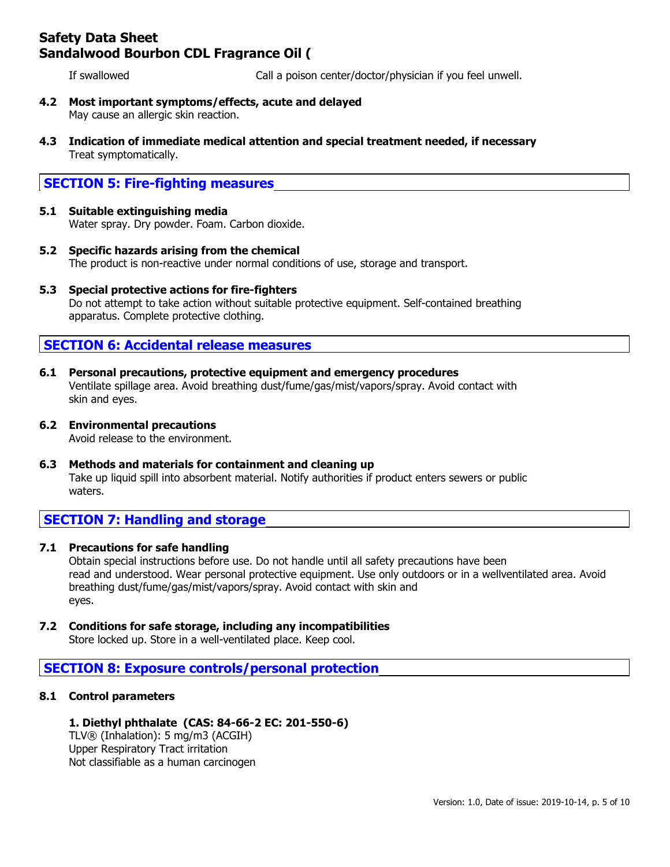If swallowed Call a poison center/doctor/physician if you feel unwell.

- **4.2 Most important symptoms/effects, acute and delayed** May cause an allergic skin reaction.
- **4.3 Indication of immediate medical attention and special treatment needed, if necessary** Treat symptomatically.

## **SECTION 5: Fire-fighting measures**

## **5.1 Suitable extinguishing media**

Water spray. Dry powder. Foam. Carbon dioxide.

- **5.2 Specific hazards arising from the chemical** The product is non-reactive under normal conditions of use, storage and transport.
- **5.3 Special protective actions for fire-fighters** Do not attempt to take action without suitable protective equipment. Self-contained breathing apparatus. Complete protective clothing.

### **SECTION 6: Accidental release measures**

- **6.1 Personal precautions, protective equipment and emergency procedures** Ventilate spillage area. Avoid breathing dust/fume/gas/mist/vapors/spray. Avoid contact with skin and eyes.
- **6.2 Environmental precautions**

Avoid release to the environment.

**6.3 Methods and materials for containment and cleaning up** Take up liquid spill into absorbent material. Notify authorities if product enters sewers or public waters.

## **SECTION 7: Handling and storage**

#### **7.1 Precautions for safe handling**

Obtain special instructions before use. Do not handle until all safety precautions have been read and understood. Wear personal protective equipment. Use only outdoors or in a wellventilated area. Avoid breathing dust/fume/gas/mist/vapors/spray. Avoid contact with skin and eyes.

**7.2 Conditions for safe storage, including any incompatibilities**

Store locked up. Store in a well-ventilated place. Keep cool.

### **SECTION 8: Exposure controls/personal protection**

#### **8.1 Control parameters**

#### **1. Diethyl phthalate (CAS: 84-66-2 EC: 201-550-6)**

TLV® (Inhalation): 5 mg/m3 (ACGIH) Upper Respiratory Tract irritation Not classifiable as a human carcinogen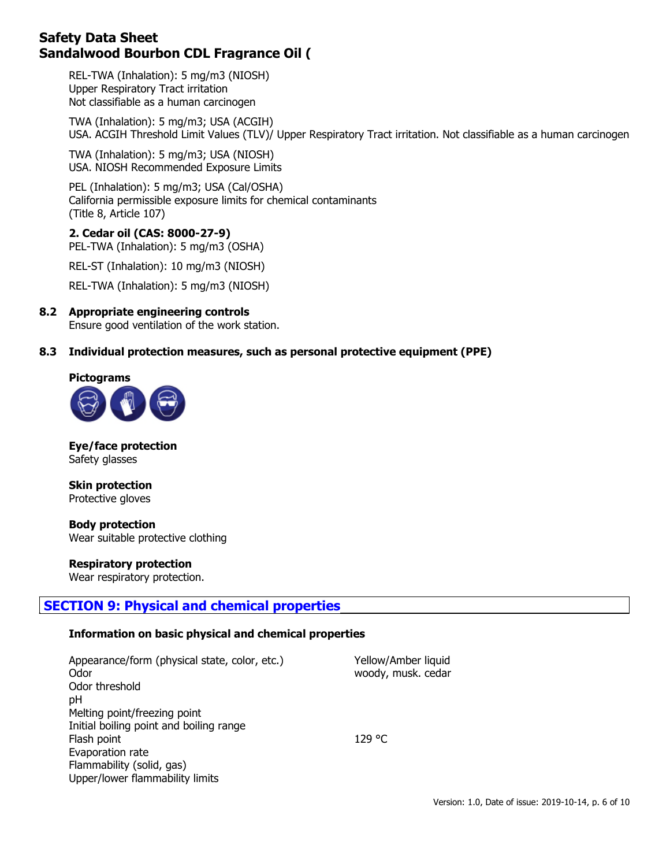REL-TWA (Inhalation): 5 mg/m3 (NIOSH) Upper Respiratory Tract irritation Not classifiable as a human carcinogen

TWA (Inhalation): 5 mg/m3; USA (ACGIH) USA. ACGIH Threshold Limit Values (TLV)/ Upper Respiratory Tract irritation. Not classifiable as a human carcinogen

TWA (Inhalation): 5 mg/m3; USA (NIOSH) USA. NIOSH Recommended Exposure Limits

PEL (Inhalation): 5 mg/m3; USA (Cal/OSHA) California permissible exposure limits for chemical contaminants (Title 8, Article 107)

#### **2. Cedar oil (CAS: 8000-27-9)**

PEL-TWA (Inhalation): 5 mg/m3 (OSHA)

REL-ST (Inhalation): 10 mg/m3 (NIOSH)

REL-TWA (Inhalation): 5 mg/m3 (NIOSH)

#### **8.2 Appropriate engineering controls**

Ensure good ventilation of the work station.

#### **8.3 Individual protection measures, such as personal protective equipment (PPE)**

#### **Pictograms**



**Eye/face protection** Safety glasses

**Skin protection** Protective gloves

**Body protection** Wear suitable protective clothing

**Respiratory protection**

Wear respiratory protection.

## **SECTION 9: Physical and chemical properties**

#### **Information on basic physical and chemical properties**

| Appearance/form (physical state, color, etc.)<br>Odor | Yellow/Amber liquid<br>woody, musk. cedar |
|-------------------------------------------------------|-------------------------------------------|
| Odor threshold                                        |                                           |
| pH                                                    |                                           |
| Melting point/freezing point                          |                                           |
| Initial boiling point and boiling range               |                                           |
| Flash point                                           | 129 °C.                                   |
| Evaporation rate                                      |                                           |
| Flammability (solid, gas)                             |                                           |
| Upper/lower flammability limits                       |                                           |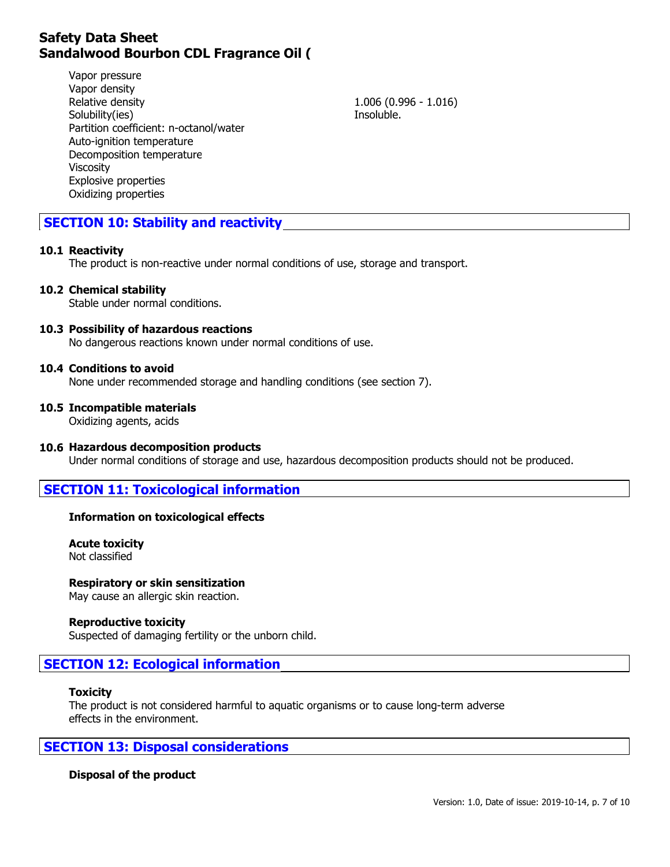Vapor pressure Vapor density Relative density 1.006 (0.996 - 1.016) Solubility(ies) and the soluble soluble. Partition coefficient: n-octanol/water Auto-ignition temperature Decomposition temperature Viscosity Explosive properties Oxidizing properties

## **SECTION 10: Stability and reactivity**

#### **10.1 Reactivity**

The product is non-reactive under normal conditions of use, storage and transport.

**10.2 Chemical stability**

Stable under normal conditions.

#### **10.3 Possibility of hazardous reactions**

No dangerous reactions known under normal conditions of use.

#### **10.4 Conditions to avoid**

None under recommended storage and handling conditions (see section 7).

#### **10.5 Incompatible materials**

Oxidizing agents, acids

#### **10.6 Hazardous decomposition products**

Under normal conditions of storage and use, hazardous decomposition products should not be produced.

#### **SECTION 11: Toxicological information**

#### **Information on toxicological effects**

**Acute toxicity** Not classified

#### **Respiratory or skin sensitization**

May cause an allergic skin reaction.

#### **Reproductive toxicity**

Suspected of damaging fertility or the unborn child.

### **SECTION 12: Ecological information**

#### **Toxicity**

The product is not considered harmful to aquatic organisms or to cause long-term adverse effects in the environment.

#### **SECTION 13: Disposal considerations**

#### **Disposal of the product**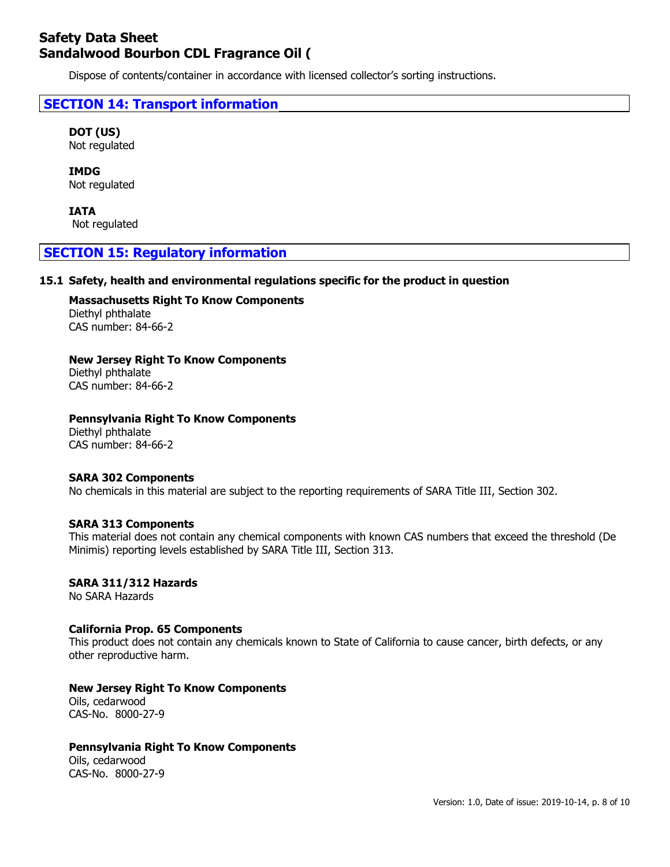Dispose of contents/container in accordance with licensed collector's sorting instructions.

## **SECTION 14: Transport information**

**DOT (US)** Not regulated

**IMDG** Not regulated

**IATA** Not regulated

### **SECTION 15: Regulatory information**

#### **15.1 Safety, health and environmental regulations specific for the product in question**

**Massachusetts Right To Know Components** Diethyl phthalate CAS number: 84-66-2

#### **New Jersey Right To Know Components**

Diethyl phthalate CAS number: 84-66-2

#### **Pennsylvania Right To Know Components**

Diethyl phthalate CAS number: 84-66-2

#### **SARA 302 Components**

No chemicals in this material are subject to the reporting requirements of SARA Title III, Section 302.

#### **SARA 313 Components**

This material does not contain any chemical components with known CAS numbers that exceed the threshold (De Minimis) reporting levels established by SARA Title III, Section 313.

#### **SARA 311/312 Hazards**

No SARA Hazards

#### **California Prop. 65 Components**

This product does not contain any chemicals known to State of California to cause cancer, birth defects, or any other reproductive harm.

#### **New Jersey Right To Know Components**

Oils, cedarwood CAS-No. 8000-27-9

#### **Pennsylvania Right To Know Components**

Oils, cedarwood CAS-No. 8000-27-9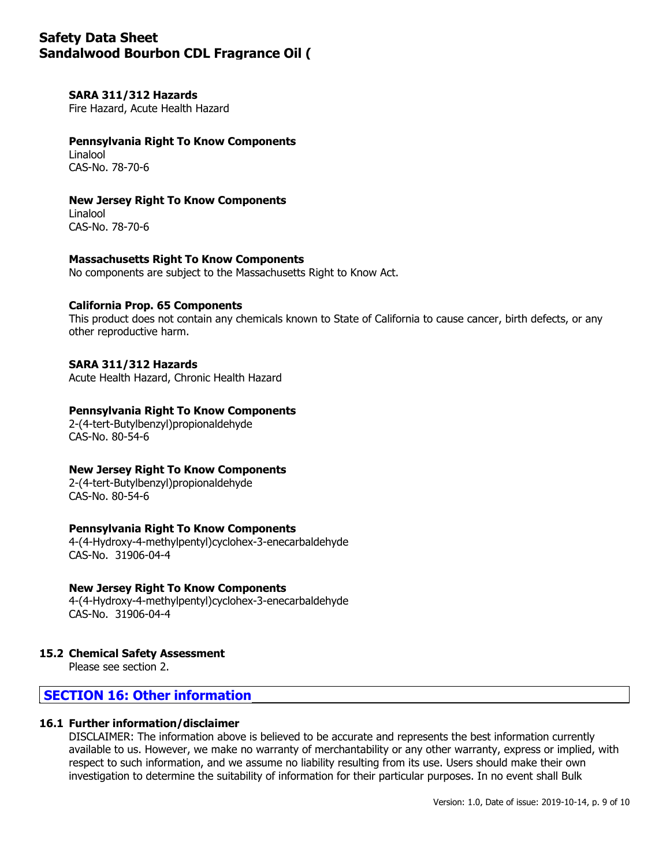#### **SARA 311/312 Hazards**

Fire Hazard, Acute Health Hazard

#### **Pennsylvania Right To Know Components** Linalool CAS-No. 78-70-6

#### **New Jersey Right To Know Components**

Linalool CAS-No. 78-70-6

#### **Massachusetts Right To Know Components**

No components are subject to the Massachusetts Right to Know Act.

#### **California Prop. 65 Components**

This product does not contain any chemicals known to State of California to cause cancer, birth defects, or any other reproductive harm.

#### **SARA 311/312 Hazards**

Acute Health Hazard, Chronic Health Hazard

#### **Pennsylvania Right To Know Components**

2-(4-tert-Butylbenzyl)propionaldehyde CAS-No. 80-54-6

#### **New Jersey Right To Know Components**

2-(4-tert-Butylbenzyl)propionaldehyde CAS-No. 80-54-6

#### **Pennsylvania Right To Know Components**

4-(4-Hydroxy-4-methylpentyl)cyclohex-3-enecarbaldehyde CAS-No. 31906-04-4

#### **New Jersey Right To Know Components**

4-(4-Hydroxy-4-methylpentyl)cyclohex-3-enecarbaldehyde CAS-No. 31906-04-4

#### **15.2 Chemical Safety Assessment**

Please see section 2.

## **SECTION 16: Other information**

#### **16.1 Further information/disclaimer**

DISCLAIMER: The information above is believed to be accurate and represents the best information currently available to us. However, we make no warranty of merchantability or any other warranty, express or implied, with respect to such information, and we assume no liability resulting from its use. Users should make their own investigation to determine the suitability of information for their particular purposes. In no event shall Bulk